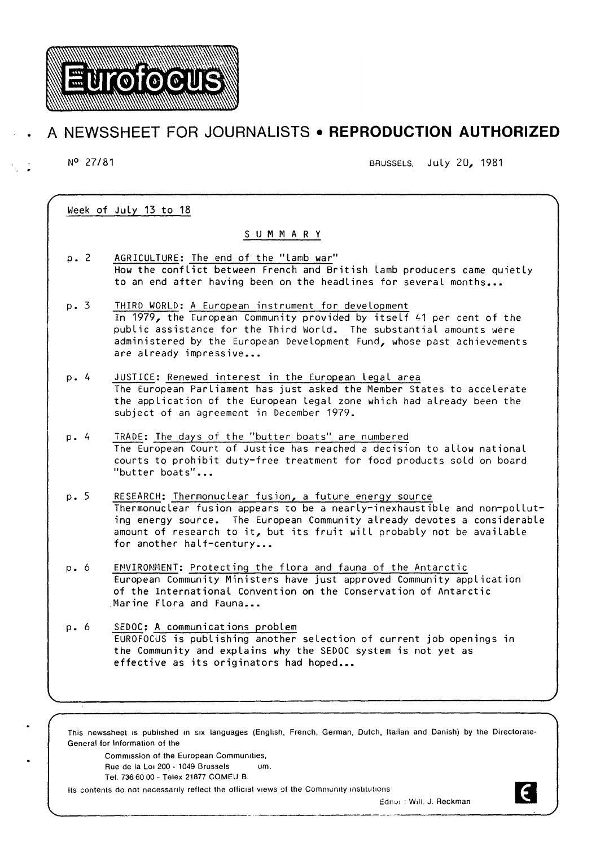

# **A NEWSSHEET FOR JOURNALISTS • REPRODUCTION AUTHORIZED**

N° 27/81 BRUSSELS, July 20, 1981

Week of July 13 to 18

# S U M M A R Y

- p. 2 AGRICULTURE: The end of the "lamb war" How the conflict between French and British lamb producers came quietly to an end after having been on the headlines for several months...
- p. 3 THIRD WORLD: A European instrument for development In 1979, the European Community provided by itself 41 per cent of the public assistance for the Third World. The substantial amounts were administered by the European Development Fund, whose past achievements are already impressive...
- p. 4 JUSTICE: Renewed interest in the European Legal area The European Parliament has just asked the Member States to accelerate the application of the European Legal zone which had already been the subject of an agreement in December 1979.
- p. 4 TRADE: The days of the "butter boats" are numbered The European Court of Justice has reached a decision to allow national courts to prohibit duty-free treatment for food products sold on board "butter boats"...
- p. 5 RESEARCH: Thermonuclear fusion, a future energy source Thermonuclear fusion appears to be a nearly-inexhaustible and non-polluting energy source. The European Community already devotes a considerable amount of research to it, but its fruit will probably not be available for another half-century...
- p. 6 ENVIRONMENT: Protecting the flora and fauna of the Antarctic European Community Ministers have just approved Community application of the International Convention on the Conservation of Antarctic .Marine Flora and Fauna...
- p. 6 SEDOC: A communications problem EUROFOCUS is publishing another selection of current job openings in the Community and explains why the SEDOC system is not yet as effective as its originators had hoped...

This newssheet is published in six languages (English, French, German, Dutch, Italian and Danish) by the Directorate-General for Information of the

Commission of the European Communities, Rue de Ia Lo1 200- 1049 Brussels um. Tel. 736 60 00- Telex 21877 COMEU B.

Its contents do not necessarily reflect the official views of the Community institutions



Editor : Will. J. Reckman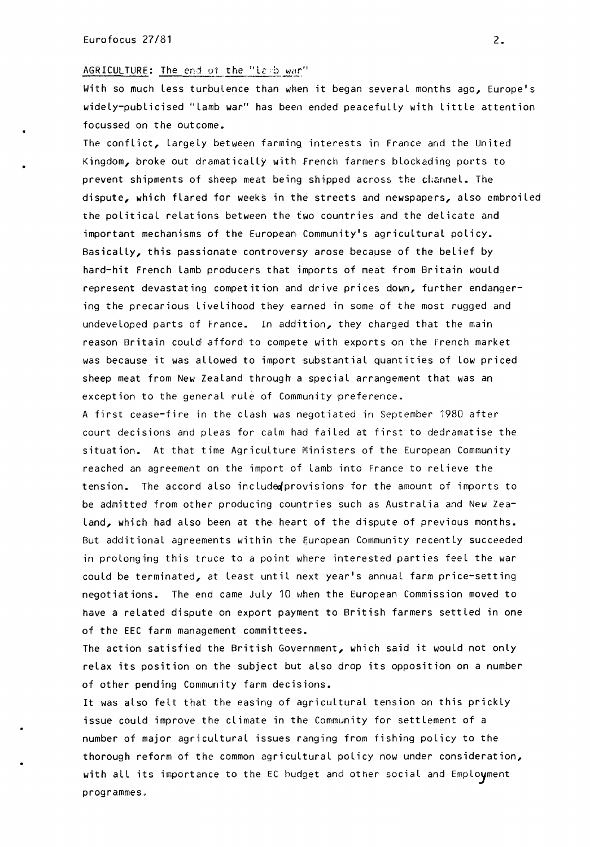## AGRICULTURE: The end of the "la:b war"

With so much less turbulence than when it began several months ago, Europe's widely-publicised "lamb war" has been ended peacefully with little attention focussed on the outcome.

The conflict, largely between farming interests in France and the United Kingdom, broke out dramatically with French farmers blockading ports to prevent shipments of sheep meat being shipped across the channel. The dispute, which flared for weeks in the streets and newspapers, also embroiled the political relations between the two countries and the delicate and important mechanisms of the European Community's agricultural policy. Basically, this passionate controversy arose because of the belief by hard-hit French lamb producers that imports of meat from Britain would represent devastating competition and drive prices down, further endangering the precarious livelihood they earned in some of the most rugged and undeveloped parts of France. In addition, they charged that the main reason Britain could afford to compete with exports on the French market was because it was allowed to import substantial quantities of low priced sheep meat from New Zealand through a special arrangement that was an exception to the general rule of Community preference.

A first cease-fire in the clash was negotiated in September 1980 after court decisions and pleas for calm had failed at first to dedramatise the situation. At that time Agriculture Ministers of the European Community reached an agreement on the import of lamb into France to relieve the tension. The accord also included provisions for the amount of imports to be admitted from other producing countries such as Australia and New Zea-Land, which had also been at the heart of the dispute of previous months. But additional agreements within the European Community recently succeeded in prolonging this truce to a point where interested parties feel the war could be terminated, at least until next year's annual farm price-setting negotiations. The end came July 10 when the European Commission moved to have a related dispute on export payment to British farmers settled in one of the EEC farm management committees.

The action satisfied the British Government, which said it would not only relax its position on the subject but also drop its opposition on a number of other pending Community farm decisions.

It was also felt that the easing of agricultural tension on this prickly issue could improve the climate in the Community for settlement of a number of major agricultural issues ranging from fishing policy to the thorough reform of the common agricultural policy now under consideration, with all its importance to the EC budget and other social and Employment programmes.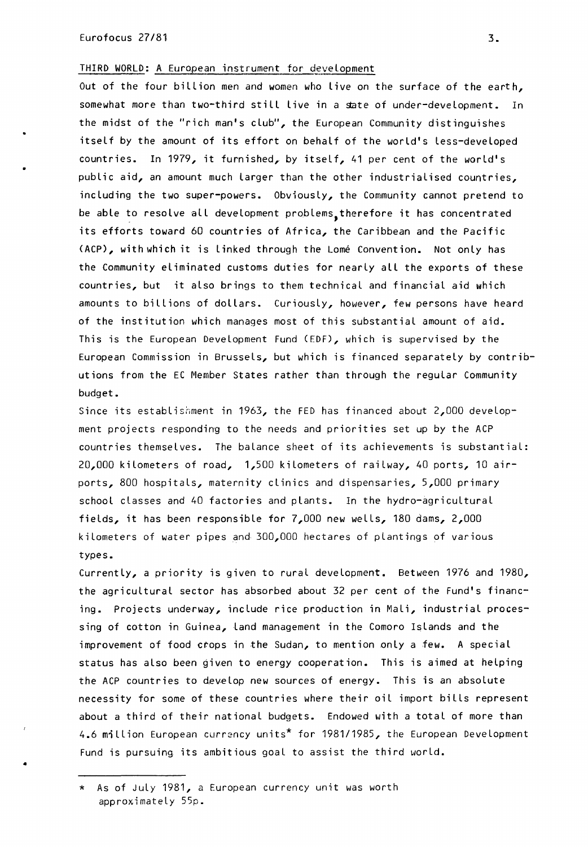THIRD WORLD: A European instrument for development

Out of the four billion men and women who live on the surface of the earth, somewhat more than two-third still live in a state of under-development. In the midst of the "rich man's club", the European Community distinguishes itself by the amount of its effort on behalf of the world's Less-developed countries. In 1979, it furnished, by itself, 41 per cent of the world's public aid, an amount much Larger than the other industrialised countries, including the two super-powers. Obviously, the Community cannot pretend to be able to resolve all development problems, therefore it has concentrated its efforts toward 60 countries of Africa, the Caribbean and the Pacific <ACP), with which it is Linked through the Lome Convention. Not only has the Community eliminated customs duties for nearly all the exports of these countries, but it also brings to them technical and financial aid which amounts to billions of dollars. Curiously, however, few persons have heard of the institution which manages most of this substantial amount of aid. This is the European Development Fund (EDF), which is supervised by the European Commission in Brussels, but which is financed separately by contributions from the EC Member States rather than through the regular Community budget.

Since its establishment in 1963, the FED has financed about 2,000 development projects responding to the needs and priorities set up by the ACP countries themselves. The balance sheet of its achievements is substantial: 20,000 kilometers of road, 1,500 kilometers of railway, 40 ports, 10 airports, 800 hospitals, maternity clinics and dispensaries, 5,000 primary school classes and 40 factories and plants. In the hydro-agricultural fields, it has been responsible for 7,000 new wells, 180 dams, 2,000 kilometers of water pipes and 300,000 hectares of plantings of various types.

Currently, a priority is given to rural development. Between 1976 and 1980, the agricultural sector has absorbed about 32 per cent of the Fund's financing. Projects underway, include rice production in Mali, industrial processing of cotton in Guinea, land management in the Comoro Islands and the improvement of food crops in the Sudan, to mention only a few. A special status has also been given to energy cooperation. This is aimed at helping the ACP countries to develop new sources of energy. This is an absolute necessity for some of these countries where their oil import bills represent about a third of their national budgets. Endowed with a total of more than 4.6 million European currency units<sup>\*</sup> for 1981/1985, the European Development Fund is pursuing its ambitious goal to assist the third world.

\* As of July 1981, a European currency unit was worth approximately 55p.

•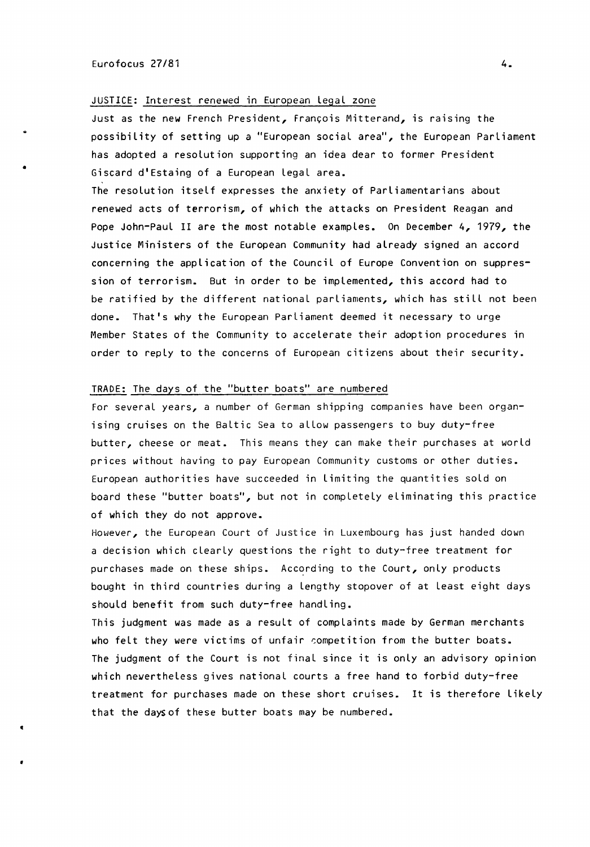•

## JUSTICE: Interest renewed in European legal zone

Just as the new French President, François Mitterand, is raising the possibility of setting up a "European social area", the European Parliament has adopted a resolution supporting an idea dear to former President Giscard d'Estaing of a European legal area.

The resolution itself expresses the anxiety of Parliamentarians about renewed acts of terrorism, of which the attacks on President Reagan and Pope John-Paul II are the most notable examples. On December 4, 1979, the Justice Ministers of the European Community had already signed an accord concerning the application of the Council of Europe Convention on suppression of terrorism. But in order to be implemented, this accord had to be ratified by the different national parliaments, which has still not been done. That's why the European Parliament deemed it necessary to urge Member States of the Community to accelerate their adoption procedures in order to reply to the concerns of European citizens about their security.

#### TRADE: The days of the "butter boats" are numbered

For several years, a number of German shipping companies have been organising cruises on the Baltic Sea to allow passengers to buy duty-free butter, cheese or meat. This means they can make their purchases at world prices without having to pay European Community customs or other duties. European authorities have succeeded in limiting the quantities sold on board these "butter boats", but not in completely eliminating this practice of which they do not approve.

However, the European Court of Justice in Luxembourg has just handed down a decision which clearly questions the right to duty-free treatment for purchases made on these ships. According to the Court, only products bought in third countries during a lengthy stopover of at least eight days should benefit from such duty-free handling.

This judgment was made as a result of complaints made by German merchants who felt they were victims of unfair competition from the butter boats. The judgment of the Court is not final since it is only an advisory opinion which newertheless gives national courts a free hand to forbid duty-free treatment for purchases made on these short cruises. It is therefore likely that the days of these butter boats may be numbered.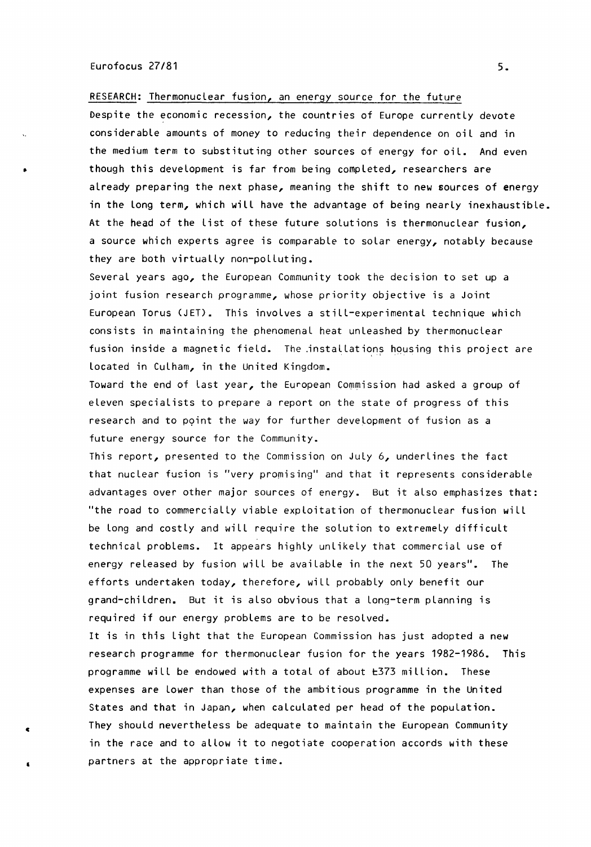## Eurofocus 27/81 5.

•

c

•

RESEARCH: Thermonuclear fusion, an energy source for the future

Despite the economic recession, the countries of Europe currently devote considerable amounts of money to reducing their dependence on oil and in the medium term to substituting other sources of energy for oil. And even though this development is far from being completed, researchers are already preparing the next phase, meaning the shift to new sources of energy in the Long term, which will have the advantage of being nearly inexhaustible. At the head of the list of these future solutions is thermonuclear fusion, a source which experts agree is comparable to solar energy, notably because they are both virtually non-polluting.

Several years ago, the European Community took the decision to set up a joint fusion research programme, whose priority objective is a Joint European Torus (JET). This involves a still-experimental technique which consists in maintaining the phenomenal heat unleashed by thermonuclear fusion inside a magnetic field. The installations housing this project are located in Culham, in the United Kingdom.

Toward the end of last year, the European Commission had asked a group of eleven specialists to prepare a report on the state of progress of this research and to point the way for further development of fusion as a future energy source for the Community.

This report, presented to the Commission on July  $6$ , underlines the fact that nuclear fusion is "very promising'' and that it represents considerable advantages over other major sources of energy. But it also emphasizes that: "the road to commercially viable exploitation of thermonuclear fusion will be Long and costly and will require the solution to extremely difficult technical problems. It appears highly unlikely that commercial use of energy released by fusion will be available in the next 50 years". The efforts undertaken today, therefore, will probably only benefit our grand-children. But it is also obvious that a Long-term planning is required if our energy problems are to be resolved.

It is in this Light that the European Commission has just adopted a new research programme for thermonuclear fusion for the years 1982-1986. This programme will be endowed with a total of about t373 million. These expenses are Lower than those of the ambitious programme in the United States and that in Japan, when calculated per head of the population. They should nevertheless be adequate to maintain the European Community in the race and to allow it to negotiate cooperation accords with these partners at the appropriate time.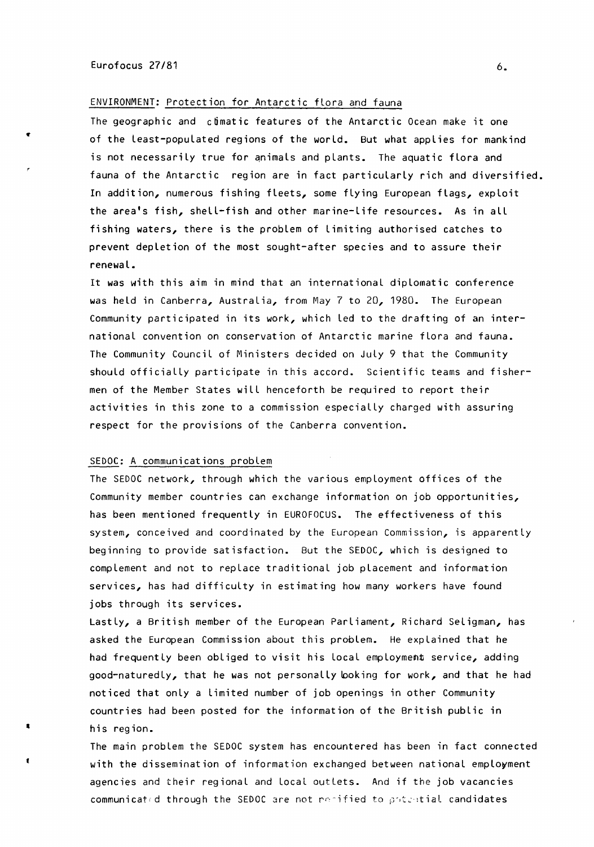## ENVIRONMENT: Protection for Antarctic flora and fauna

The geographic and climatic features of the Antarctic Ocean make it one of the Least-populated regions of the world. But what applies for mankind is not necessarily true for animals and plants. The aquatic flora and fauna of the Antarctic region are in fact particularly rich and diversified. In addition, numerous fishing fleets, some flying European flags, exploit the area's fish, shell-fish and other marine-life resources. As in all fishing waters, there is the problem of limiting authorised catches to prevent depletion of the most sought-after species and to assure their renewal.

It was with this aim in mind that an international diplomatic conference was held in Canberra, Australia, from May 7 to 20, 1980. The European Community participated in its work, which led to the drafting of an international convention on conservation of Antarctic marine flora and fauna. The Community Council of Ministers decided on July 9 that the Community should officially participate in this accord. Scientific teams and fishermen of the Member States will henceforth be required to report their activities in this zone to a commission especially charged with assuring respect for the provisions of the Canberra convention.

### SEDOC: A communications problem

•

The SEDOC network, through which the various employment offices of the Community member countries can exchange information on job opportunities, has been mentioned frequently in EUROFOCUS. The effectiveness of this system, conceived and coordinated by the European Commission, is apparently beginning to provide satisfaction. But the SEDOC, which is designed to complement and not to replace traditional job placement and information services, has had difficulty in estimating how many workers have found jobs through its services.

Lastly, a British member of the European Parliament, Richard Seligman, has asked the European Commission about this problem. He explained that he had frequently been obliged to visit his local employment service, adding good-naturedly, that he was not personally looking for work, and that he had noticed that only a Limited number of job openings in other Community countries had been posted for the information of the British public in his region.

The main problem the SEDOC system has encountered has been in fact connected with the dissemination of information exchanged between national employment agencies and their regional and local outlets. And if the job vacancies communicated through the SEDOC are not remified to potential candidates